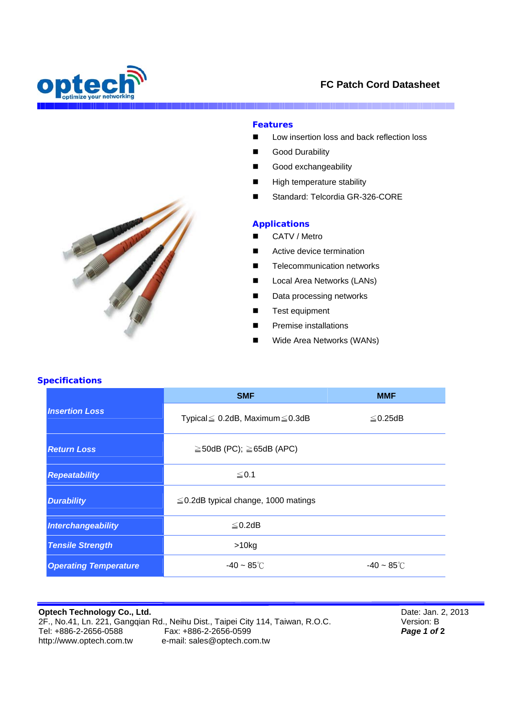

I



Marian Barbara

## **Features**

- Low insertion loss and back reflection loss
- Good Durability
- Good exchangeability
- **High temperature stability**
- Standard: Telcordia GR-326-CORE

## **Applications**

- CATV / Metro
- Active device termination
- Telecommunication networks
- **Local Area Networks (LANs)**
- Data processing networks
- **Test equipment**
- Premise installations
- Wide Area Networks (WANs)



| <b>Insertion Loss</b>        | <b>SMF</b>                                   | <b>MMF</b>              |
|------------------------------|----------------------------------------------|-------------------------|
|                              | Typical $\leq 0.2$ dB, Maximum $\leq 0.3$ dB | $\leq$ 0.25dB           |
| <b>Return Loss</b>           | $\geq$ 50dB (PC); $\geq$ 65dB (APC)          |                         |
| <b>Repeatability</b>         | ≤ 0.1                                        |                         |
| <b>Durability</b>            | $\leq$ 0.2dB typical change, 1000 matings    |                         |
| Interchangeability           | $\leq$ 0.2dB                                 |                         |
| <b>Tensile Strength</b>      | $>10$ kg                                     |                         |
| <b>Operating Temperature</b> | $-40 - 85^{\circ}$ C                         | $-40 \sim 85^{\circ}$ C |

## **Optech Technology Co., Ltd.**  2F., No.41, Ln. 221, Gangqian Rd., Neihu Dist., Taipei City 114, Taiwan, R.O.C.<br>Tel: +886-2-2656-0588 Fax: +886-2-2656-0599 Fax: +886-2-2656-0599 http://www.optech.com.tw e-mail: sales@optech.com.tw

Date: Jan. 2, 2013 Version: B *Page 1 of* **2**